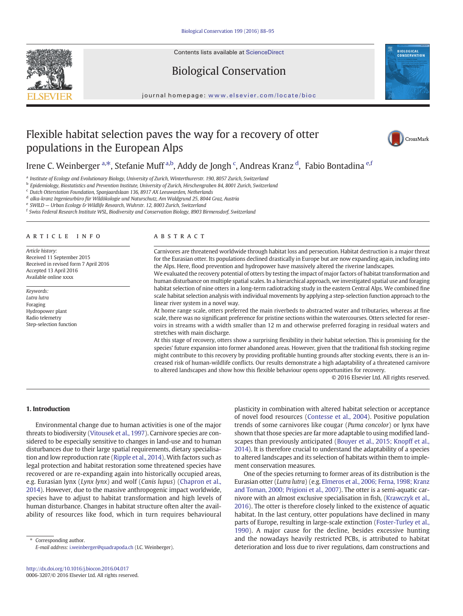

Contents lists available at ScienceDirect

# Biological Conservation



journal homepage: <www.elsevier.com/locate/bioc>

# Flexible habitat selection paves the way for a recovery of otter populations in the European Alps



# Irene C. Weinberger <sup>a,\*</sup>, Stefanie Muff <sup>a,b</sup>, Addy de Jongh <sup>c</sup>, Andreas Kranz <sup>d</sup>, Fabio Bontadina <sup>e,f</sup>

<sup>a</sup> Institute of Ecology and Evolutionary Biology, University of Zurich, Winterthurerstr. 190, 8057 Zurich, Switzerland

<sup>b</sup> Epidemiology, Biostatistics and Prevention Institute, University of Zurich, Hirschengraben 84, 8001 Zurich, Switzerland

<sup>c</sup> Dutch Otterstation Foundation, Spanjaardslaan 136, 8917 AX Leeuwarden, Netherlands

<sup>d</sup> alka-kranz Ingenieurbüro für Wildökologie und Naturschutz, Am Waldgrund 25, 8044 Graz, Austria

<sup>e</sup> SWILD — Urban Ecology & Wildlife Research, Wuhrstr. 12, 8003 Zurich, Switzerland

<sup>f</sup> Swiss Federal Research Institute WSL, Biodiversity and Conservation Biology, 8903 Birmensdorf, Switzerland

# article info abstract

Article history: Received 11 September 2015 Received in revised form 7 April 2016 Accepted 13 April 2016 Available online xxxx

Keywords: Lutra lutra Foraging Hydropower plant Radio telemetry Step-selection function

Carnivores are threatened worldwide through habitat loss and persecution. Habitat destruction is a major threat for the Eurasian otter. Its populations declined drastically in Europe but are now expanding again, including into the Alps. Here, flood prevention and hydropower have massively altered the riverine landscapes.

We evaluated the recovery potential of otters by testing the impact of major factors of habitat transformation and human disturbance on multiple spatial scales. In a hierarchical approach, we investigated spatial use and foraging habitat selection of nine otters in a long-term radiotracking study in the eastern Central Alps. We combined fine scale habitat selection analysis with individual movements by applying a step-selection function approach to the linear river system in a novel way.

At home range scale, otters preferred the main riverbeds to abstracted water and tributaries, whereas at fine scale, there was no significant preference for pristine sections within the watercourses. Otters selected for reservoirs in streams with a width smaller than 12 m and otherwise preferred foraging in residual waters and stretches with main discharge.

At this stage of recovery, otters show a surprising flexibility in their habitat selection. This is promising for the species' future expansion into former abandoned areas. However, given that the traditional fish stocking regime might contribute to this recovery by providing profitable hunting grounds after stocking events, there is an increased risk of human-wildlife conflicts. Our results demonstrate a high adaptability of a threatened carnivore to altered landscapes and show how this flexible behaviour opens opportunities for recovery.

© 2016 Elsevier Ltd. All rights reserved.

# 1. Introduction

Environmental change due to human activities is one of the major threats to biodiversity [\(Vitousek et al., 1997](#page-7-0)). Carnivore species are considered to be especially sensitive to changes in land-use and to human disturbances due to their large spatial requirements, dietary specialisation and low reproduction rate [\(Ripple et al., 2014\)](#page-7-0). With factors such as legal protection and habitat restoration some threatened species have recovered or are re-expanding again into historically occupied areas, e.g. Eurasian lynx (Lynx lynx) and wolf (Canis lupus) ([Chapron et al.,](#page-6-0) [2014\)](#page-6-0). However, due to the massive anthropogenic impact worldwide, species have to adjust to habitat transformation and high levels of human disturbance. Changes in habitat structure often alter the availability of resources like food, which in turn requires behavioural

⁎ Corresponding author. E-mail address: [i.weinberger@quadrapoda.ch](mailto:i.weinberger@quadrapoda.ch) (I.C. Weinberger). plasticity in combination with altered habitat selection or acceptance of novel food resources ([Contesse et al., 2004\)](#page-6-0). Positive population trends of some carnivores like cougar (Puma concolor) or lynx have shown that those species are far more adaptable to using modified landscapes than previously anticipated ([Bouyer et al., 2015; Knopff et al.,](#page-6-0) [2014\)](#page-6-0). It is therefore crucial to understand the adaptability of a species to altered landscapes and its selection of habitats within them to implement conservation measures.

One of the species returning to former areas of its distribution is the Eurasian otter (Lutra lutra) (e.g. [Elmeros et al., 2006; Ferna, 1998; Kranz](#page-6-0) [and Toman, 2000; Prigioni et al., 2007\)](#page-6-0). The otter is a semi-aquatic carnivore with an almost exclusive specialisation in fish, ([Krawczyk et al.,](#page-6-0) [2016\)](#page-6-0). The otter is therefore closely linked to the existence of aquatic habitat. In the last century, otter populations have declined in many parts of Europe, resulting in large-scale extinction [\(Foster-Turley et al.,](#page-6-0) [1990](#page-6-0)). A major cause for the decline, besides excessive hunting and the nowadays heavily restricted PCBs, is attributed to habitat deterioration and loss due to river regulations, dam constructions and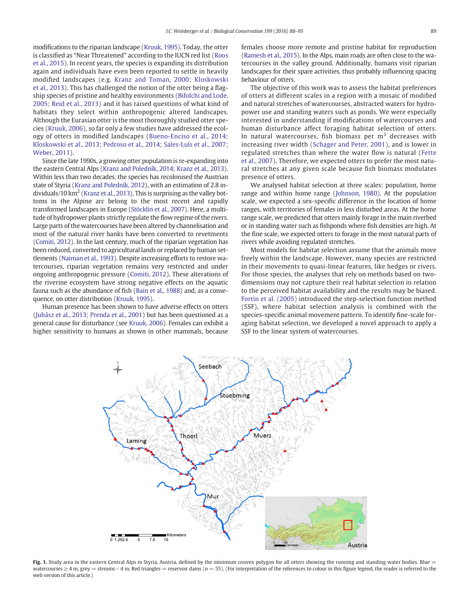<span id="page-1-0"></span>modifications to the riparian landscape [\(Kruuk, 1995](#page-6-0)). Today, the otter is classified as "Near Threatened" according to the IUCN red list ([Roos](#page-7-0) [et al., 2015](#page-7-0)). In recent years, the species is expanding its distribution again and individuals have even been reported to settle in heavily modified landscapes (e.g. [Kranz and Toman, 2000; Kloskowski](#page-6-0) [et al., 2013\)](#page-6-0). This has challenged the notion of the otter being a flagship species of pristine and healthy environments [\(Bifolchi and Lode,](#page-6-0) [2005; Reid et al., 2013](#page-6-0)) and it has raised questions of what kind of habitats they select within anthropogenic altered landscapes. Although the Eurasian otter is the most thoroughly studied otter species ([Kruuk, 2006\)](#page-6-0), so far only a few studies have addressed the ecology of otters in modified landscapes ([Bueno-Enciso et al., 2014;](#page-6-0) [Kloskowski et al., 2013; Pedroso et](#page-6-0) al., 2014; Sales-Luís et al., 2007; [Weber, 2011\)](#page-6-0).

Since the late 1990s, a growing otter population is re-expanding into the eastern Central Alps [\(Kranz and Poledník, 2014; Kranz et al., 2013](#page-6-0)). Within less than two decades, the species has recolonised the Austrian state of Styria [\(Kranz and Poledník, 2012](#page-6-0)), with an estimation of 2.8 in-dividuals/10 km<sup>2</sup> ([Kranz et al., 2013](#page-6-0)). This is surprising as the valley bottoms in the Alpine arc belong to the most recent and rapidly transformed landscapes in Europe ([Stöcklin et al., 2007](#page-7-0)). Here, a multitude of hydropower plants strictly regulate the flow regime of the rivers. Large parts of the watercourses have been altered by channelisation and most of the natural river banks have been converted to revetments [\(Comiti, 2012](#page-6-0)). In the last century, much of the riparian vegetation has been reduced, converted to agricultural lands or replaced by human settlements ([Naiman et al., 1993](#page-6-0)). Despite increasing efforts to restore watercourses, riparian vegetation remains very restricted and under ongoing anthropogenic pressure [\(Comiti, 2012](#page-6-0)). These alterations of the riverine ecosystem have strong negative effects on the aquatic fauna such as the abundance of fish [\(Bain et al., 1988\)](#page-6-0) and, as a consequence, on otter distribution ([Kruuk, 1995\)](#page-6-0).

Human presence has been shown to have adverse effects on otters [\(Juhász et al., 2013; Prenda et al., 2001](#page-6-0)) but has been questioned as a general cause for disturbance (see [Kruuk, 2006\)](#page-6-0). Females can exhibit a higher sensitivity to humans as shown in other mammals, because females choose more remote and pristine habitat for reproduction [\(Ramesh et al., 2015](#page-7-0)). In the Alps, main roads are often close to the watercourses in the valley ground. Additionally, humans visit riparian landscapes for their spare activities, thus probably influencing spacing behaviour of otters.

The objective of this work was to assess the habitat preferences of otters at different scales in a region with a mosaic of modified and natural stretches of watercourses, abstracted waters for hydropower use and standing waters such as ponds. We were especially interested in understanding if modifications of watercourses and human disturbance affect foraging habitat selection of otters. In natural watercourses, fish biomass per  $m<sup>3</sup>$  decreases with increasing river width ([Schager and Peter, 2001](#page-7-0)), and is lower in regulated stretches than where the water flow is natural ([Fette](#page-6-0) [et al., 2007](#page-6-0)). Therefore, we expected otters to prefer the most natural stretches at any given scale because fish biomass modulates presence of otters.

We analysed habitat selection at three scales: population, home range and within home range ([Johnson, 1980](#page-6-0)). At the population scale, we expected a sex-specific difference in the location of home ranges, with territories of females in less disturbed areas. At the home range scale, we predicted that otters mainly forage in the main riverbed or in standing water such as fishponds where fish densities are high. At the fine scale, we expected otters to forage in the most natural parts of rivers while avoiding regulated stretches.

Most models for habitat selection assume that the animals move freely within the landscape. However, many species are restricted in their movements to quasi-linear features, like hedges or rivers. For those species, the analyses that rely on methods based on twodimensions may not capture their real habitat selection in relation to the perceived habitat availability and the results may be biased. [Fortin et al. \(2005\)](#page-6-0) introduced the step-selection function method (SSF), where habitat selection analysis is combined with the species-specific animal movement pattern. To identify fine-scale foraging habitat selection, we developed a novel approach to apply a SSF to the linear system of watercourses.



Fig. 1. Study area in the eastern Central Alps in Styria, Austria, defined by the minimum convex polygon for all otters showing the running and standing water bodies. Blue  $=$ watercourses  $\geq 4$  m, grey = streams < 4 m. Red triangles = reservoir dams (n = 55). (For interpretation of the references to colour in this figure legend, the reader is referred to the web version of this article.)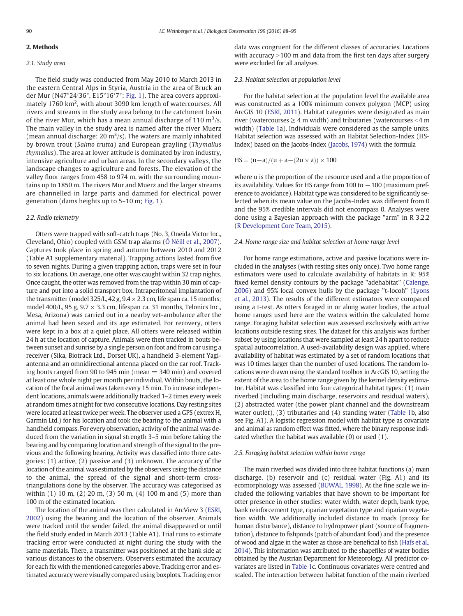# 2. Methods

#### 2.1. Study area

The field study was conducted from May 2010 to March 2013 in the eastern Central Alps in Styria, Austria in the area of Bruck an der Mur (N47°24′36″, E15°16′7″; [Fig. 1\)](#page-1-0). The area covers approximately 1760 km<sup>2</sup>, with about 3090 km length of watercourses. All rivers and streams in the study area belong to the catchment basin of the river Mur, which has a mean annual discharge of 110  $\mathrm{m}^3/\mathrm{s}$ . The main valley in the study area is named after the river Muerz (mean annual discharge: 20  $m^3/s$ ). The waters are mainly inhabited by brown trout (Salmo trutta) and European grayling (Thymallus thymallus). The area at lower attitude is dominated by iron industry, intensive agriculture and urban areas. In the secondary valleys, the landscape changes to agriculture and forests. The elevation of the valley floor ranges from 458 to 974 m, with the surrounding mountains up to 1850 m. The rivers Mur and Muerz and the larger streams are channelled in large parts and dammed for electrical power generation (dams heights up to 5–10 m; [Fig. 1](#page-1-0)).

## 2.2. Radio telemetry

Otters were trapped with soft-catch traps (No. 3, Oneida Victor Inc., Cleveland, Ohio) coupled with GSM trap alarms ([Ó Néill et al., 2007](#page-6-0)). Captures took place in spring and autumn between 2010 and 2012 (Table A1 supplementary material). Trapping actions lasted from five to seven nights. During a given trapping action, traps were set in four to six locations. On average, one otter was caught within 32 trap nights. Once caught, the otter was removed from the trap within 30 min of capture and put into a solid transport box. Intraperitoneal implantation of the transmitter (model 325/L, 42 g,  $9.4 \times 2.3$  cm, life span ca. 15 months; model 400/L, 95 g, 9.7  $\times$  3.3 cm, lifespan ca. 31 months, Telonics Inc., Mesa, Arizona) was carried out in a nearby vet-ambulance after the animal had been sexed and its age estimated. For recovery, otters were kept in a box at a quiet place. All otters were released within 24 h at the location of capture. Animals were then tracked in bouts between sunset and sunrise by a single person on foot and from car using a receiver (Sika, Biotrack Ltd., Dorset UK), a handheld 3-element Yagiantenna and an omnidirectional antenna placed on the car roof. Tracking bouts ranged from 90 to 945 min (mean  $=$  340 min) and covered at least one whole night per month per individual. Within bouts, the location of the focal animal was taken every 15 min. To increase independent locations, animals were additionally tracked 1–2 times every week at random times at night for two consecutive locations. Day resting sites were located at least twice per week. The observer used a GPS (extrex H, Garmin Ltd.) for his location and took the bearing to the animal with a handheld compass. For every observation, activity of the animal was deduced from the variation in signal strength 3–5 min before taking the bearing and by comparing location and strength of the signal to the previous and the following bearing. Activity was classified into three categories: (1) active, (2) passive and (3) unknown. The accuracy of the location of the animal was estimated by the observers using the distance to the animal, the spread of the signal and short-term crosstriangulations done by the observer. The accuracy was categorised as within (1) 10 m, (2) 20 m, (3) 50 m, (4) 100 m and (5) more than 100 m of the estimated location.

The location of the animal was then calculated in ArcView 3 [\(ESRI,](#page-6-0) [2002](#page-6-0)) using the bearing and the location of the observer. Animals were tracked until the sender failed, the animal disappeared or until the field study ended in March 2013 (Table A1). Trial runs to estimate tracking error were conducted at night during the study with the same materials. There, a transmitter was positioned at the bank side at various distances to the observers. Observers estimated the accuracy for each fix with the mentioned categories above. Tracking error and estimated accuracy were visually compared using boxplots. Tracking error data was congruent for the different classes of accuracies. Locations with accuracy  $>$  100 m and data from the first ten days after surgery were excluded for all analyses.

## 2.3. Habitat selection at population level

For the habitat selection at the population level the available area was constructed as a 100% minimum convex polygon (MCP) using ArcGIS 10 [\(ESRI, 2011](#page-6-0)). Habitat categories were designated as main river (watercourses  $\geq 4$  m width) and tributaries (watercourses <4 m width) [\(Table 1](#page-3-0)a). Individuals were considered as the sample units. Habitat selection was assessed with an Habitat Selection-Index (HS-Index) based on the Jacobs-Index [\(Jacobs, 1974](#page-6-0)) with the formula

$$
HS=(u\!-\!a)/(u+a\!-\!(2u\times a))\times 100
$$

where u is the proportion of the resource used and a the proportion of its availability. Values for HS range from 100 to  $-100$  (maximum preference to avoidance). Habitat type was considered to be significantly selected when its mean value on the Jacobs-Index was different from 0 and the 95% credible intervals did not encompass 0. Analyses were done using a Bayesian approach with the package "arm" in R 3.2.2 [\(R Development Core Team, 2015](#page-7-0)).

### 2.4. Home range size and habitat selection at home range level

For home range estimations, active and passive locations were included in the analyses (with resting sites only once). Two home range estimators were used to calculate availability of habitats in R: 95% fixed kernel density contours by the package "adehabitat" [\(Calenge,](#page-6-0) [2006](#page-6-0)) and 95% local convex hulls by the package "t-locoh" ([Lyons](#page-6-0) [et al., 2013\)](#page-6-0). The results of the different estimators were compared using a t-test. As otters foraged in or along water bodies, the actual home ranges used here are the waters within the calculated home range. Foraging habitat selection was assessed exclusively with active locations outside resting sites. The dataset for this analysis was further subset by using locations that were sampled at least 24 h apart to reduce spatial autocorrelation. A used-availability design was applied, where availability of habitat was estimated by a set of random locations that was 10 times larger than the number of used locations. The random locations were drawn using the standard toolbox in ArcGIS 10, setting the extent of the area to the home range given by the kernel density estimator. Habitat was classified into four categorical habitat types: (1) main riverbed (including main discharge, reservoirs and residual waters), (2) abstracted water (the power plant channel and the downstream water outlet), (3) tributaries and (4) standing water ([Table 1](#page-3-0)b, also see Fig. A1). A logistic regression model with habitat type as covariate and animal as random effect was fitted, where the binary response indicated whether the habitat was available (0) or used (1).

# 2.5. Foraging habitat selection within home range

The main riverbed was divided into three habitat functions (a) main discharge, (b) reservoir and (c) residual water (Fig. A1) and its ecomorphology was assessed ([BUWAL, 1998](#page-6-0)). At the fine scale we included the following variables that have shown to be important for otter presence in other studies: water width, water depth, bank type, bank reinforcement type, riparian vegetation type and riparian vegetation width. We additionally included distance to roads (proxy for human disturbance), distance to hydropower plant (source of fragmentation), distance to fishponds (patch of abundant food) and the presence of wood and algae in the water as those are beneficial to fish [\(Hafs et al.,](#page-6-0) [2014](#page-6-0)). This information was attributed to the shapefiles of water bodies obtained by the Austrian Department for Meteorology. All predictor covariates are listed in [Table 1c](#page-3-0). Continuous covariates were centred and scaled. The interaction between habitat function of the main riverbed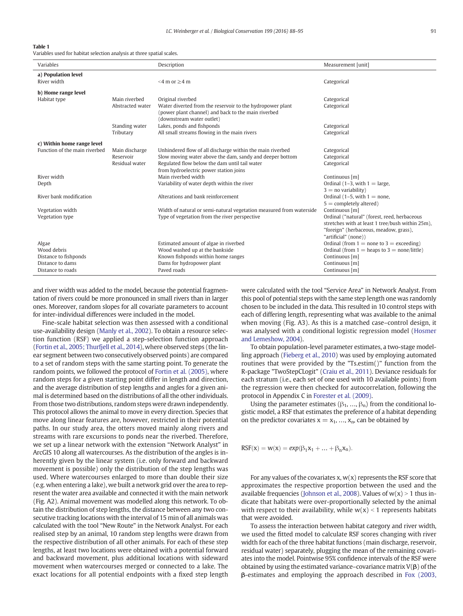### <span id="page-3-0"></span>Table 1

Variables used for habitat selection analysis at three spatial scales.

| Variables                     |                  | Description                                                         | Measurement [unit]                               |
|-------------------------------|------------------|---------------------------------------------------------------------|--------------------------------------------------|
| a) Population level           |                  |                                                                     |                                                  |
| River width                   |                  | $<$ 4 m or $>$ 4 m                                                  | Categorical                                      |
| b) Home range level           |                  |                                                                     |                                                  |
| Habitat type                  | Main riverbed    | Original riverbed                                                   | Categorical                                      |
|                               | Abstracted water | Water diverted from the reservoir to the hydropower plant           | Categorical                                      |
|                               |                  | (power plant channel) and back to the main riverbed                 |                                                  |
|                               |                  | (downstream water outlet)                                           |                                                  |
|                               | Standing water   | Lakes, ponds and fishponds                                          | Categorical                                      |
|                               | Tributary        | All small streams flowing in the main rivers                        | Categorical                                      |
| c) Within home range level    |                  |                                                                     |                                                  |
| Function of the main riverbed | Main discharge   | Unhindered flow of all discharge within the main riverbed           | Categorical                                      |
|                               | Reservoir        | Slow moving water above the dam, sandy and deeper bottom            | Categorical                                      |
|                               | Residual water   | Regulated flow below the dam until tail water                       | Categorical                                      |
|                               |                  | from hydroelectric power station joins                              |                                                  |
| River width                   |                  | Main riverbed width                                                 | Continuous [m]                                   |
| Depth                         |                  | Variability of water depth within the river                         | Ordinal (1–3, with $1 = \text{large}$ ,          |
|                               |                  |                                                                     | $3 = no$ variability)                            |
| River bank modification       |                  | Alterations and bank reinforcement                                  | Ordinal (1-5, with $1 =$ none,                   |
| Vegetation width              |                  | Width of natural or semi-natural vegetation measured from waterside | $5 =$ completely altered)<br>Continuous [m]      |
| Vegetation type               |                  | Type of vegetation from the river perspective                       | Ordinal ("natural" (forest, reed, herbaceous     |
|                               |                  |                                                                     | stretches with at least 1 tree/bush within 25m), |
|                               |                  |                                                                     | "foreign" (herbaceous, meadow, grass),           |
|                               |                  |                                                                     | "artificial" (none))                             |
| Algae                         |                  | Estimated amount of algae in riverbed                               | Ordinal (from $1 =$ none to $3 =$ exceeding)     |
| Wood debris                   |                  | Wood washed up at the bankside                                      | Ordinal (from $1 =$ heaps to $3 =$ none/little)  |
| Distance to fishponds         |                  | Known fishponds within home ranges                                  | Continuous [m]                                   |
| Distance to dams              |                  | Dams for hydropower plant                                           | Continuous [m]                                   |
| Distance to roads             |                  | Paved roads                                                         | Continuous [m]                                   |

and river width was added to the model, because the potential fragmentation of rivers could be more pronounced in small rivers than in larger ones. Moreover, random slopes for all covariate parameters to account for inter-individual differences were included in the model.

Fine-scale habitat selection was then assessed with a conditional use-availability design ([Manly et al., 2002](#page-6-0)). To obtain a resource selection function (RSF) we applied a step-selection function approach [\(Fortin et al., 2005; Thurfjell et al., 2014\)](#page-6-0), where observed steps (the linear segment between two consecutively observed points) are compared to a set of random steps with the same starting point. To generate the random points, we followed the protocol of [Fortin et al. \(2005\),](#page-6-0) where random steps for a given starting point differ in length and direction, and the average distribution of step lengths and angles for a given animal is determined based on the distributions of all the other individuals. From those two distributions, random steps were drawn independently. This protocol allows the animal to move in every direction. Species that move along linear features are, however, restricted in their potential paths. In our study area, the otters moved mainly along rivers and streams with rare excursions to ponds near the riverbed. Therefore, we set up a linear network with the extension "Network Analyst" in ArcGIS 10 along all watercourses. As the distribution of the angles is inherently given by the linear system (i.e. only forward and backward movement is possible) only the distribution of the step lengths was used. Where watercourses enlarged to more than double their size (e.g. when entering a lake), we built a network grid over the area to represent the water area available and connected it with the main network (Fig. A2). Animal movement was modelled along this network. To obtain the distribution of step lengths, the distance between any two consecutive tracking locations with the interval of 15 min of all animals was calculated with the tool "New Route" in the Network Analyst. For each realised step by an animal, 10 random step lengths were drawn from the respective distribution of all other animals. For each of these step lengths, at least two locations were obtained with a potential forward and backward movement, plus additional locations with sideward movement when watercourses merged or connected to a lake. The exact locations for all potential endpoints with a fixed step length were calculated with the tool "Service Area" in Network Analyst. From this pool of potential steps with the same step length one was randomly chosen to be included in the data. This resulted in 10 control steps with each of differing length, representing what was available to the animal when moving (Fig. A3). As this is a matched case–control design, it was analysed with a conditional logistic regression model ([Hosmer](#page-6-0) [and Lemeshow, 2004\)](#page-6-0).

To obtain population-level parameter estimates, a two-stage modelling approach ([Fieberg et al., 2010\)](#page-6-0) was used by employing automated routines that were provided by the "Ts.estim()" function from the R-package "TwoStepCLogit" [\(Craiu et al., 2011](#page-6-0)). Deviance residuals for each stratum (i.e., each set of one used with 10 available points) from the regression were then checked for autocorrelation, following the protocol in Appendix C in [Forester et al. \(2009\)](#page-6-0).

Using the parameter estimates ( $\beta_1$ , ...,  $\beta_n$ ) from the conditional logistic model, a RSF that estimates the preference of a habitat depending on the predictor covariates  $x = x_1, ..., x_n$ , can be obtained by

 $RSF(x) = w(x) = exp(\beta_1 x_1 + ... + \beta_n x_n).$ 

For any values of the covariates x,  $w(x)$  represents the RSF score that approximates the respective proportion between the used and the available frequencies [\(Johnson et al., 2008](#page-6-0)). Values of  $w(x) > 1$  thus indicate that habitats were over-proportionally selected by the animal with respect to their availability, while  $w(x) < 1$  represents habitats that were avoided.

To assess the interaction between habitat category and river width, we used the fitted model to calculate RSF scores changing with river width for each of the three habitat functions (main discharge, reservoir, residual water) separately, plugging the mean of the remaining covariates into the model. Pointwise 95% confidence intervals of the RSF were obtained by using the estimated variance–covariance matrix  $V(\beta)$  of the β-estimates and employing the approach described in [Fox \(2003,](#page-6-0)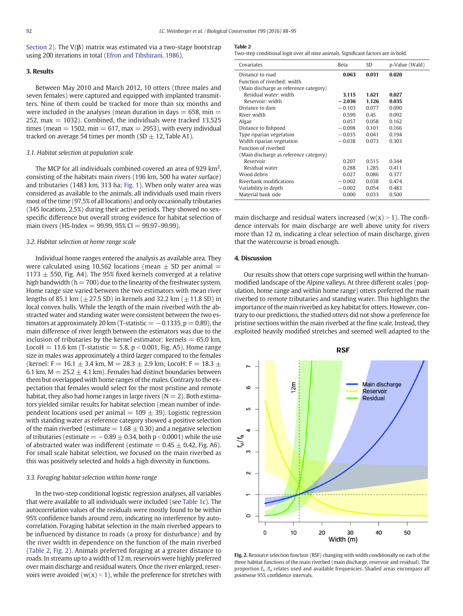[Section 2\).](#page-6-0) The  $V(\beta)$  matrix was estimated via a two-stage bootstrap using 200 iterations in total [\(Efron and Tibshirani, 1986\)](#page-6-0).

### 3. Results

Between May 2010 and March 2012, 10 otters (three males and seven females) were captured and equipped with implanted transmitters. Nine of them could be tracked for more than six months and were included in the analyses (mean duration in days  $= 658$ , min  $=$ 252, max  $= 1032$ ). Combined, the individuals were tracked 13,525 times (mean  $= 1502$ , min  $= 617$ , max  $= 2953$ ), with every individual tracked on average 54 times per month (SD  $\pm$  12, Table A1).

# 3.1. Habitat selection at population scale

The MCP for all individuals combined covered an area of 929 km<sup>2</sup>, consisting of the habitats main rivers (196 km, 500 ha water surface) and tributaries (1483 km, 313 ha; [Fig. 1\)](#page-1-0). When only water area was considered as available to the animals, all individuals used main rivers most of the time (97.5% of all locations) and only occasionally tributaries (345 locations, 2.5%) during their active periods. They showed no sexspecific difference but overall strong evidence for habitat selection of main rivers (HS-Index = 99.99, 95% CI = 99.97-99.99).

# 3.2. Habitat selection at home range scale

Individual home ranges entered the analysis as available area. They were calculated using 10,562 locations (mean  $\pm$  SD per animal  $=$  $1173 \pm 550$ , Fig. A4). The 95% fixed kernels converged at a relative high bandwidth ( $h = 700$ ) due to the linearity of the freshwater system. Home range size varied between the two estimators with mean river lengths of 85.1 km ( $\pm$ 27.5 SD) in kernels and 32.2 km ( $\pm$ 11.8 SD) in local convex hulls. While the length of the main riverbed with the abstracted water and standing water were consistent between the two estimators at approximately 20 km (T-statistic  $=$   $-$  0.1335, p  $=$  0.89), the main difference of river length between the estimators was due to the inclusion of tributaries by the kernel estimator: kernels  $= 65.0$  km, LocoH = 11.6 km (T-statistic = 5.8,  $p < 0.001$ , Fig. A5). Home range size in males was approximately a third larger compared to the females (kernel: F = 16.1  $\pm$  3.4 km, M = 28.3  $\pm$  2.9 km; LocoH: F = 18.3  $\pm$ 6.1 km,  $M = 25.2 \pm 4.1$  km). Females had distinct boundaries between them but overlapped with home ranges of the males. Contrary to the expectation that females would select for the most pristine and remote habitat, they also had home ranges in large rivers  $(N = 2)$ . Both estimators yielded similar results for habitat selection (mean number of independent locations used per animal  $= 109 \pm 39$ ). Logistic regression with standing water as reference category showed a positive selection of the main riverbed (estimate  $= 1.68 \pm 0.30$ ) and a negative selection of tributaries (estimate =  $-0.89 \pm 0.34$ , both p < 0.0001) while the use of abstracted water was indifferent (estimate  $= 0.45 \pm 0.42$ , Fig. A6). For small scale habitat selection, we focused on the main riverbed as this was positively selected and holds a high diversity in functions.

#### 3.3. Foraging habitat selection within home range

In the two-step conditional logistic regression analyses, all variables that were available to all individuals were included (see [Table 1c](#page-3-0)). The autocorrelation values of the residuals were mostly found to be within 95% confidence bands around zero, indicating no interference by autocorrelation. Foraging habitat selection in the main riverbed appears to be influenced by distance to roads (a proxy for disturbance) and by the river width in dependence on the function of the main riverbed (Table 2, Fig. 2). Animals preferred foraging at a greater distance to roads. In streams up to a width of 12 m, reservoirs were highly preferred over main discharge and residual waters. Once the river enlarged, reservoirs were avoided ( $w(x) < 1$ ), while the preference for stretches with

#### Table 2

Two-step conditional logit over all nine animals. Significant factors are in bold.

| Covariates                             | Beta     | SD    | p-Value (Wald) |
|----------------------------------------|----------|-------|----------------|
| Distance to road                       | 0.063    | 0.031 | 0.020          |
| Function of riverbed: width            |          |       |                |
| (Main discharge as reference category) |          |       |                |
| Residual water: width                  | 3.115    | 1.621 | 0.027          |
| Reservoir: width                       | $-2.036$ | 1.126 | 0.035          |
| Distance to dam                        | $-0.103$ | 0.077 | 0.090          |
| River width                            | 0.599    | 0.45  | 0.092          |
| Algae                                  | 0.057    | 0.058 | 0.162          |
| Distance to fishpond                   | $-0.098$ | 0.101 | 0.166          |
| Type riparian vegetation               | $-0.035$ | 0.041 | 0.194          |
| Width riparian vegetation              | $-0.038$ | 0.073 | 0.303          |
| Function of riverbed                   |          |       |                |
| (Main discharge as reference category) |          |       |                |
| Reservoir                              | 0.207    | 0.515 | 0.344          |
| Residual water                         | 0.288    | 1.285 | 0.411          |
| Wood debris                            | 0.027    | 0.086 | 0.377          |
| Riverbank modifications                | $-0.002$ | 0.038 | 0.474          |
| Variability in depth                   | $-0.002$ | 0.054 | 0.483          |
| Material bank side                     | 0.000    | 0.033 | 0.500          |

main discharge and residual waters increased ( $w(x) > 1$ ). The confidence intervals for main discharge are well above unity for rivers more than 12 m, indicating a clear selection of main discharge, given that the watercourse is broad enough.

# 4. Discussion

Our results show that otters cope surprising well within the humanmodified landscape of the Alpine valleys. At three different scales (population, home range and within home range) otters preferred the main riverbed to remote tributaries and standing water. This highlights the importance of the main riverbed as key habitat for otters. However, contrary to our predictions, the studied otters did not show a preference for pristine sections within the main riverbed at the fine scale. Instead, they exploited heavily modified stretches and seemed well adapted to the



Fig. 2. Resource selection function (RSF) changing with width conditionally on each of the three habitat functions of the main riverbed (main discharge, reservoir and residual). The proportion  $f_u/f_a$  relates used and available frequencies. Shaded areas encompass all pointwise 95% confidence intervals.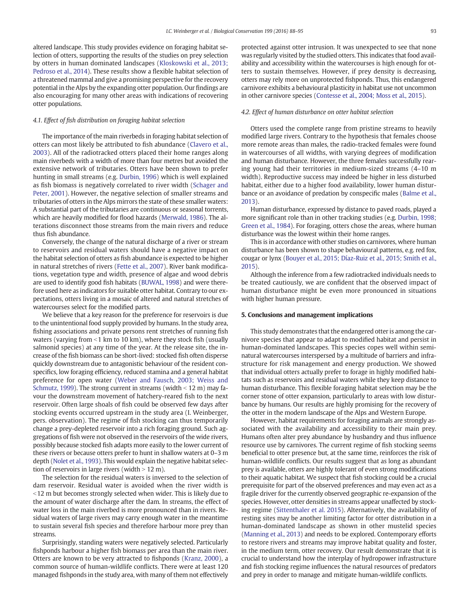altered landscape. This study provides evidence on foraging habitat selection of otters, supporting the results of the studies on prey selection by otters in human dominated landscapes [\(Kloskowski et al., 2013;](#page-6-0) [Pedroso et al., 2014](#page-6-0)). These results show a flexible habitat selection of a threatened mammal and give a promising perspective for the recovery potential in the Alps by the expanding otter population. Our findings are also encouraging for many other areas with indications of recovering otter populations.

## 4.1. Effect of fish distribution on foraging habitat selection

The importance of the main riverbeds in foraging habitat selection of otters can most likely be attributed to fish abundance [\(Clavero et al.,](#page-6-0) [2003\)](#page-6-0). All of the radiotracked otters placed their home ranges along main riverbeds with a width of more than four metres but avoided the extensive network of tributaries. Otters have been shown to prefer hunting in small streams (e.g. [Durbin, 1996](#page-6-0)) which is well explained as fish biomass is negatively correlated to river width [\(Schager and](#page-7-0) [Peter, 2001\)](#page-7-0). However, the negative selection of smaller streams and tributaries of otters in the Alps mirrors the state of these smaller waters: A substantial part of the tributaries are continuous or seasonal torrents, which are heavily modified for flood hazards ([Merwald, 1986\)](#page-6-0). The alterations disconnect those streams from the main rivers and reduce thus fish abundance.

Conversely, the change of the natural discharge of a river or stream to reservoirs and residual waters should have a negative impact on the habitat selection of otters as fish abundance is expected to be higher in natural stretches of rivers ([Fette et al., 2007](#page-6-0)). River bank modifications, vegetation type and width, presence of algae and wood debris are used to identify good fish habitats ([BUWAL, 1998\)](#page-6-0) and were therefore used here as indicators for suitable otter habitat. Contrary to our expectations, otters living in a mosaic of altered and natural stretches of watercourses select for the modified parts.

We believe that a key reason for the preference for reservoirs is due to the unintentional food supply provided by humans. In the study area, fishing associations and private persons rent stretches of running fish waters (varying from  $\leq$ 1 km to 10 km), where they stock fish (usually salmonid species) at any time of the year. At the release site, the increase of the fish biomass can be short-lived: stocked fish often disperse quickly downstream due to antagonistic behaviour of the resident conspecifics, low foraging efficiency, reduced stamina and a general habitat preference for open water ([Weber and Fausch, 2003; Weiss and](#page-7-0) [Schmutz, 1999\)](#page-7-0). The strong current in streams (width  $\le$  12 m) may favour the downstream movement of hatchery-reared fish to the next reservoir. Often large shoals of fish could be observed few days after stocking events occurred upstream in the study area (I. Weinberger, pers. observation). The regime of fish stocking can thus temporarily change a prey-depleted reservoir into a rich foraging ground. Such aggregations of fish were not observed in the reservoirs of the wide rivers, possibly because stocked fish adapts more easily to the lower current of these rivers or because otters prefer to hunt in shallow waters at 0–3 m depth [\(Nolet et al., 1993\)](#page-6-0). This would explain the negative habitat selection of reservoirs in large rivers (width  $> 12$  m).

The selection for the residual waters is inversed to the selection of dam reservoir. Residual water is avoided when the river width is  $12$  m but becomes strongly selected when wider. This is likely due to the amount of water discharge after the dam. In streams, the effect of water loss in the main riverbed is more pronounced than in rivers. Residual waters of large rivers may carry enough water in the meantime to sustain several fish species and therefore harbour more prey than streams.

Surprisingly, standing waters were negatively selected. Particularly fishponds harbour a higher fish biomass per area than the main river. Otters are known to be very attracted to fishponds [\(Kranz, 2000\)](#page-6-0), a common source of human-wildlife conflicts. There were at least 120 managed fishponds in the study area, with many of them not effectively protected against otter intrusion. It was unexpected to see that none was regularly visited by the studied otters. This indicates that food availability and accessibility within the watercourses is high enough for otters to sustain themselves. However, if prey density is decreasing, otters may rely more on unprotected fishponds. Thus, this endangered carnivore exhibits a behavioural plasticity in habitat use not uncommon in other carnivore species [\(Contesse et al., 2004; Moss et al., 2015](#page-6-0)).

## 4.2. Effect of human disturbance on otter habitat selection

Otters used the complete range from pristine streams to heavily modified large rivers. Contrary to the hypothesis that females choose more remote areas than males, the radio-tracked females were found in watercourses of all widths, with varying degrees of modification and human disturbance. However, the three females successfully rearing young had their territories in medium-sized streams (4–10 m width). Reproductive success may indeed be higher in less disturbed habitat, either due to a higher food availability, lower human disturbance or an avoidance of predation by conspecific males [\(Balme et al.,](#page-6-0) [2013](#page-6-0)).

Human disturbance, expressed by distance to paved roads, played a more significant role than in other tracking studies (e.g. [Durbin, 1998;](#page-6-0) [Green et al., 1984\)](#page-6-0). For foraging, otters chose the areas, where human disturbance was the lowest within their home ranges.

This is in accordance with other studies on carnivores, where human disturbance has been shown to shape behavioural patterns, e.g. red fox, cougar or lynx ([Bouyer et al., 2015; Díaz-Ruiz et al., 2015; Smith et al.,](#page-6-0) [2015](#page-6-0)).

Although the inference from a few radiotracked individuals needs to be treated cautiously, we are confident that the observed impact of human disturbance might be even more pronounced in situations with higher human pressure.

## 5. Conclusions and management implications

This study demonstrates that the endangered otter is among the carnivore species that appear to adapt to modified habitat and persist in human-dominated landscapes. This species copes well within seminatural watercourses interspersed by a multitude of barriers and infrastructure for risk management and energy production. We showed that individual otters actually prefer to forage in highly modified habitats such as reservoirs and residual waters while they keep distance to human disturbance. This flexible foraging habitat selection may be the corner stone of otter expansion, particularly to areas with low disturbance by humans. Our results are highly promising for the recovery of the otter in the modern landscape of the Alps and Western Europe.

However, habitat requirements for foraging animals are strongly associated with the availability and accessibility to their main prey. Humans often alter prey abundance by husbandry and thus influence resource use by carnivores. The current regime of fish stocking seems beneficial to otter presence but, at the same time, reinforces the risk of human-wildlife conflicts. Our results suggest that as long as abundant prey is available, otters are highly tolerant of even strong modifications to their aquatic habitat. We suspect that fish stocking could be a crucial prerequisite for part of the observed preferences and may even act as a fragile driver for the currently observed geographic re-expansion of the species. However, otter densities in streams appear unaffected by stocking regime ([Sittenthaler et al. 2015](#page-7-0)). Alternatively, the availability of resting sites may be another limiting factor for otter distribution in a human-dominated landscape as shown in other mustelid species [\(Manning et al., 2013](#page-6-0)) and needs to be explored. Contemporary efforts to restore rivers and streams may improve habitat quality and foster, in the medium term, otter recovery. Our result demonstrate that it is crucial to understand how the interplay of hydropower infrastructure and fish stocking regime influences the natural resources of predators and prey in order to manage and mitigate human-wildlife conflicts.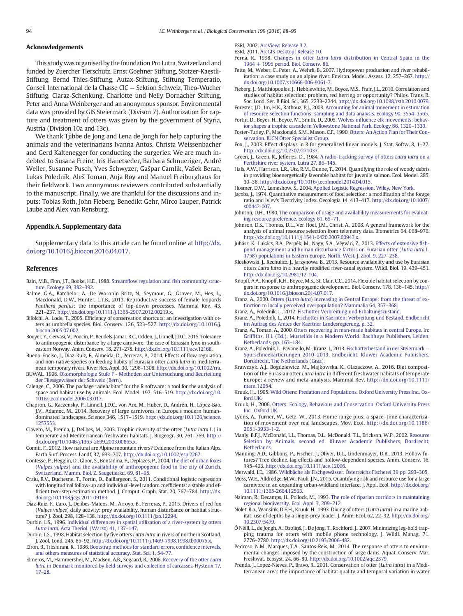# <span id="page-6-0"></span>Acknowledgements

This study was organised by the foundation Pro Lutra, Switzerland and funded by Zuercher Tierschutz, Ernst Goehner Stiftung, Stotzer-Kaestli-Stiftung, Bernd Thies-Stiftung, Autax-Stiftung, Stiftung Temperatio, Conseil International de la Chasse CIC — Sektion Schweiz, Theo-Wucher Stiftung, Claraz-Schenkung, Charlotte und Nelly Dornacher Stiftung, Peter and Anna Weinberger and an anonymous sponsor. Environmental data was provided by GIS Steiermark (Divison 7). Authorization for capture and treatment of otters was given by the government of Styria, Austria (Division 10a and 13c).

We thank Tjibbe de Jong and Lena de Jongh for help capturing the animals and the veterinarians Ivanna Antos, Christa Weissenbacher and Gerd Kaltenegger for conducting the surgeries. We are much indebted to Susana Freire, Iris Hanetseder, Barbara Schnueriger, André Weller, Susanne Pusch, Yves Schwyzer, Gašpar Camlik, Vašek Beran, Lukas Poledník, Aleš Toman, Anja Roy and Manuel Freiburghaus for their fieldwork. Two anonymous reviewers contributed substantially to the manuscript. Finally, we are thankful for the discussions and inputs: Tobias Roth, John Fieberg, Benedikt Gehr, Mirco Lauper, Patrick Laube and Alex van Rensburg.

## Appendix A. Supplementary data

Supplementary data to this article can be found online at [http://dx.](http://dx.doi.org/10.1016/j.biocon.2016.04.017) [doi.org/10.1016/j.biocon.2016.04.017](http://dx.doi.org/10.1016/j.biocon.2016.04.017).

#### References

- Bain, M.B., Finn, J.T., Booke, H.E., 1988. Streamflow regulation and fi[sh community struc](http://refhub.elsevier.com/S0006-3207(16)30153-7/rf0005)[ture. Ecology 69, 382](http://refhub.elsevier.com/S0006-3207(16)30153-7/rf0005)–392.
- Balme, G.A., Batchelor, A., De Woronin Britz, N., Seymour, G., Grover, M., Hes, L., Macdonald, D.W., Hunter, L.T.B., 2013. Reproductive success of female leopards Panthera pardus: the importance of top-down processes. Mammal Rev. 43, 221–237. http://dx.doi.org/[10.1111/j.1365-2907.2012.00219.x](http://dx.doi.org/10.1111/j.1365-2907.2012.00219.x).
- Bifolchi, A., Lode, T., 2005. Efficiency of conservation shortcuts: an investigation with otters as umbrella species. Biol. Conserv. 126, 523–527. http://dx.doi.org/[10.1016/j.](http://dx.doi.org/10.1016/j.biocon.2005.07.002) [biocon.2005.07.002.](http://dx.doi.org/10.1016/j.biocon.2005.07.002)
- Bouyer, Y., Gervasi, V., Poncin, P., Beudels-Jamar, R.C., Odden, J., Linnell, J.D.C., 2015. Tolerance to anthropogenic disturbance by a large carnivore: the case of Eurasian lynx in southeastern Norway. Anim. Conserv. 18, 271–278. http://dx.doi.org[/10.1111/acv.12168](http://dx.doi.org/10.1111/acv.12168).
- Bueno-Enciso, J., Diaz-Ruiz, F., Almeida, D., Perreras, P., 2014. Effects of flow regulation and non-native species on feeding habits of Eurasian otter Lutra lutra in mediterra-
- nean temporary rivers. River Res. Appl. 30, 1296–1308. http://dx.doi.org[/10.1002/rra](http://dx.doi.org/10.1002/rra). BUWAL, 1998. [Ökomorphologie Stufe F Methoden zur Untersuchung und Beurteilung](http://refhub.elsevier.com/S0006-3207(16)30153-7/rf0030) [der Fliessgewässer der Schweiz \(Bern\)](http://refhub.elsevier.com/S0006-3207(16)30153-7/rf0030).
- Calenge, C., 2006. The package "adehabitat" for the R software: a tool for the analysis of space and habitat use by animals. Ecol. Model. 197, 516–519. http://dx.doi.org[/10.](http://dx.doi.org/10.1016/j.ecolmodel.2006.03.017) [1016/j.ecolmodel.2006.03.017.](http://dx.doi.org/10.1016/j.ecolmodel.2006.03.017)
- Chapron, G., Kaczensky, P., Linnell, J.D.C., von Arx, M., Huber, D., Andrén, H., López-Bao, J.V., Adamec, M., 2014. Recovery of large carnivores in Europe's modern humandominated landscapes. Science 346, 1517–1519. http://dx.doi.org[/10.1126/science.](http://dx.doi.org/10.1126/science.1257553) [1257553.](http://dx.doi.org/10.1126/science.1257553)
- Clavero, M., Prenda, J., Delibes, M., 2003. Trophic diversity of the otter (Lutra lutra L.) in temperate and Mediterranean freshwater habitats. J. Biogeogr. 30, 761–769. http:// dx.doi.org[/10.1046/j.1365-2699.2003.00865.x.](http://dx.doi.org/10.1046/j.1365-2699.2003.00865.x)
- Comiti, F., 2012. How natural are Alpine mountain rivers? Evidence from the Italian Alps. Earth Surf. Process. Landf. 37, 693–707. http://dx.doi.org/[10.1002/esp.2267.](http://dx.doi.org/10.1002/esp.2267)
- Contesse, P., Hegglin, D., Gloor, S., Bontadina, F., Deplazes, P., 2004. [The diet of urban foxes](http://refhub.elsevier.com/S0006-3207(16)30153-7/rf0060) (Vulpes vulpes[\) and the availability of anthropogenic food in the city of Zurich,](http://refhub.elsevier.com/S0006-3207(16)30153-7/rf0060) [Switzerland. Mamm. Biol. Z. Saugetierkd. 69, 81](http://refhub.elsevier.com/S0006-3207(16)30153-7/rf0060)–95.
- Craiu, R.V., Duchesne, T., Fortin, D., Baillargeon, S., 2011. Conditional logistic regression with longitudinal follow-up and individual-level random coefficients: a stable and efficient two-step estimation method. J. Comput. Graph. Stat. 20, 767–784. http://dx. doi.org/[10.1198/jcgs.2011.09189.](http://dx.doi.org/10.1198/jcgs.2011.09189)
- Díaz-Ruiz, F., Caro, J., Delibes-Mateos, M., Arroyo, B., Ferreras, P., 2015. Drivers of red fox (Vulpes vulpes) daily activity: prey availability, human disturbance or habitat structure? J. Zool. 298, 128–138. http://dx.doi.org[/10.1111/jzo.12294](http://dx.doi.org/10.1111/jzo.12294).
- Durbin, L.S., 1996. [Individual differences in spatial utilization of a river-system by otters](http://refhub.elsevier.com/S0006-3207(16)30153-7/rf0075) Lutra lutra[. Acta Theriol. \(Warsz\) 41, 137](http://refhub.elsevier.com/S0006-3207(16)30153-7/rf0075)–147.
- Durbin, L.S., 1998. Habitat selection by five otters Lutra lutra in rivers of northern Scotland. J. Zool. Lond. 245, 85–92. http://dx.doi.org[/10.1111/j.1469-7998.1998.tb00075.x.](http://dx.doi.org/10.1111/j.1469-7998.1998.tb00075.x)
- Efron, B., Tibshirani, R., 1986. [Bootstrap methods for standard errors, con](http://refhub.elsevier.com/S0006-3207(16)30153-7/rf0085)fidence intervals, [and others measures of statistical accuracy. Stat. Sci. 1, 54](http://refhub.elsevier.com/S0006-3207(16)30153-7/rf0085)–77.
- Elmeros, M., Hammershøj, M., Madsen, A.B., Sogaard, B., 2006. [Recovery of the otter](http://refhub.elsevier.com/S0006-3207(16)30153-7/rf0090) Lutra lutra in Denmark monitored by fi[eld surveys and collection of carcasses. Hysterix 17,](http://refhub.elsevier.com/S0006-3207(16)30153-7/rf0090) [17](http://refhub.elsevier.com/S0006-3207(16)30153-7/rf0090)–28.

# ESRI, 2002. [ArcView: Release 3.2](http://refhub.elsevier.com/S0006-3207(16)30153-7/rf0095).

# ESRI, 2011. [ArcGIS Desktop: Release 10.](http://refhub.elsevier.com/S0006-3207(16)30153-7/rf0100)

- Ferna, R., 1998. Changes in otter Lutra lutra [distribution in Central Spain in the](http://refhub.elsevier.com/S0006-3207(16)30153-7/rf0105) [1964 ± 1995 period. Biol. Conserv. 86](http://refhub.elsevier.com/S0006-3207(16)30153-7/rf0105).
- Fette, M., Weber, C., Peter, A., Wehrli, B., 2007. Hydropower production and river rehabilitation: a case study on an alpine river. Environ. Model. Assess. 12, 257–267. http:// dx.doi.org[/10.1007/s10666-006-9061-7](http://dx.doi.org/10.1007/s10666-006-9061-7).
- Fieberg, J., Matthiopoulos, J., Hebblewhite, M., Boyce, M.S., Frair, J.L., 2010. Correlation and studies of habitat selection: problem, red herring or opportunity? Philos. Trans. R. Soc. Lond. Ser. B Biol. Sci. 365, 2233–2244. http://dx.doi.org[/10.1098/rstb.2010.0079](http://dx.doi.org/10.1098/rstb.2010.0079).
- Forester, J.D., Im, H.K., Rathouz, P.J., 2009. [Accounting for animal movement in estimation](http://refhub.elsevier.com/S0006-3207(16)30153-7/rf0120) [of resource selection functions: sampling and data analysis. Ecology 90, 3554](http://refhub.elsevier.com/S0006-3207(16)30153-7/rf0120)–3565.
- Fortin, D., Beyer, H., Boyce, M., Smith, D., 2005. Wolves infl[uence elk movements: behav](http://refhub.elsevier.com/S0006-3207(16)30153-7/rf0125)[ior shapes a trophic cascade in Yellowstone National Park. Ecology 86, 1320](http://refhub.elsevier.com/S0006-3207(16)30153-7/rf0125)–1330.
- Foster-Turley, P., Macdonald, S.M., Mason, C.F., 1990. [Otters: An Action Plan for Their Con](http://refhub.elsevier.com/S0006-3207(16)30153-7/rf0130)[servation. IUCN Otter Specialist Group](http://refhub.elsevier.com/S0006-3207(16)30153-7/rf0130).
- Fox, J., 2003. Effect displays in R for generalised linear models. J. Stat. Softw. 8, 1–27. http://dx.doi.org[/10.2307/271037.](http://dx.doi.org/10.2307/271037)
- Green, J., Green, R., Jefferies, D., 1984. [A radio-tracking survey of otters](http://refhub.elsevier.com/S0006-3207(16)30153-7/rf0140) Lutra lutra on a [Perthshire river system. Lutra 27, 86](http://refhub.elsevier.com/S0006-3207(16)30153-7/rf0140)–145.
- Hafs, A.W., Harrison, L.R., Utz, R.M., Dunne, T., 2014. Quantifying the role of woody debris in providing bioenergetically favorable habitat for juvenile salmon. Ecol. Model. 285, 30–38. http://dx.doi.org/[10.1016/j.ecolmodel.2014.04.015.](http://dx.doi.org/10.1016/j.ecolmodel.2014.04.015)
- Hosmer, D.W., Lemeshow, S., 2004. [Applied Logistic Regression. Wiley, New York](http://refhub.elsevier.com/S0006-3207(16)30153-7/rf0150).
- Jacobs, J., 1974. Quantitative measurement of food selection: a modification of the forage ratio and Ivlev's Electrivity Index. Oecologia 14, 413–417. http://dx.doi.org/[10.1007/](http://dx.doi.org/10.1007/s00442-007) [s00442-007](http://dx.doi.org/10.1007/s00442-007).
- Johnson, D.H., 1980. [The comparison of usage and availability measurements for evaluat](http://refhub.elsevier.com/S0006-3207(16)30153-7/rf0160)[ing resource preference. Ecology 61, 65](http://refhub.elsevier.com/S0006-3207(16)30153-7/rf0160)–71.
- Johnson, D.S., Thomas, D.L., Ver Hoef, J.M., Christ, A., 2008. A general framework for the analysis of animal resource selection from telemetry data. Biometrics 64, 968–976. http://dx.doi.org[/10.1111/j.1541-0420.2007.00943.x](http://dx.doi.org/10.1111/j.1541-0420.2007.00943.x).
- Juhász, K., Lukács, B.A., Perpék, M., Nagy, S.A., Végvári, Z., 2013. [Effects of extensive](http://refhub.elsevier.com/S0006-3207(16)30153-7/rf0170) fish[pond management and human disturbance factors on Eurasian otter \(](http://refhub.elsevier.com/S0006-3207(16)30153-7/rf0170)Lutra lutra L. [1758\) populations in Eastern Europe. North. West. J. Zool. 9, 227](http://refhub.elsevier.com/S0006-3207(16)30153-7/rf0170)–238.
- Kloskowski, J., Rechulicz, J., Jarzynowa, B., 2013. Resource availability and use by Eurasian otters Lutra lutra in a heavily modified river-canal system. Wildl. Biol. 19, 439–451. http://dx.doi.org[/10.2981/12-104.](http://dx.doi.org/10.2981/12-104)
- Knopff, A.A., Knopff, K.H., Boyce, M.S., St. Clair, C.C., 2014. Flexible habitat selection by cougars in response to anthropogenic development. Biol. Conserv. 178, 136–145. http:// dx.doi.org[/10.1016/j.biocon.2014.07.017](http://dx.doi.org/10.1016/j.biocon.2014.07.017).
- Kranz, A., 2000. Otters (Lutra lutra[\) increasing in Central Europe: from the threat of ex](http://refhub.elsevier.com/S0006-3207(16)30153-7/rf0185)[tinction to locally perceived overpopulation? Mammalia 64, 357](http://refhub.elsevier.com/S0006-3207(16)30153-7/rf0185)-368.
- Kranz, A., Poledník, L., 2012. [Fischotter Verbreitung und Erhaltungszustand](http://refhub.elsevier.com/S0006-3207(16)30153-7/rf0190).
- Kranz, A., Poledník, L., 2014. [Fischotter in Kaernten: Verbreitung und Bestand. Endbericht](http://refhub.elsevier.com/S0006-3207(16)30153-7/rf9685) [im Auftrag des Amtes der Kaertner Landesregierung, p. 32](http://refhub.elsevier.com/S0006-3207(16)30153-7/rf9685).
- Kranz, A., Toman, A., 2000. [Otters recovering in man-made habitats in central Europe. In:](http://refhub.elsevier.com/S0006-3207(16)30153-7/rf0200) Griffi[ths, H.I. \(Ed.\), Mustelids in a Modern World. Bachhuys Publishers, Leiden,](http://refhub.elsevier.com/S0006-3207(16)30153-7/rf0200) [Netherlands, pp. 163](http://refhub.elsevier.com/S0006-3207(16)30153-7/rf0200)–184.
- Kranz, A., Poledník, L., Pavanello, M., Kranz, I., 2013. [Fischotterbestand in der Steiermark](http://refhub.elsevier.com/S0006-3207(16)30153-7/rf0205) Spurschneekartierungen 2010–[2013. Endbericht. Kluwer Academic Publishers,](http://refhub.elsevier.com/S0006-3207(16)30153-7/rf0205) [Dorddrecht, The Netherlands \(Graz\).](http://refhub.elsevier.com/S0006-3207(16)30153-7/rf0205)
- Krawczyk, A.J., Bogdziewicz, M., Majkowska, K., Glazaczow, A., 2016. Diet composition of the Eurasian otter Lutra lutra in different freshwater habitats of temperate Europe: a review and meta-analysis. Mammal Rev. http://dx.doi.org/[10.1111/](http://dx.doi.org/10.1111/mam.12054) [mam.12054](http://dx.doi.org/10.1111/mam.12054).
- Kruuk, H., 1995. [Wild Otters: Predation and Populations. Oxford University Press Inc., Ox](http://refhub.elsevier.com/S0006-3207(16)30153-7/rf0215)[ford UK.](http://refhub.elsevier.com/S0006-3207(16)30153-7/rf0215)
- Kruuk, H., 2006. [Otters: Ecology, Behavious and Conservation. Oxford University Press](http://refhub.elsevier.com/S0006-3207(16)30153-7/rf0220) [Inc., Oxford UK.](http://refhub.elsevier.com/S0006-3207(16)30153-7/rf0220)
- Lyons, A., Turner, W., Getz, W., 2013. Home range plus: a space–time characterization of movement over real landscapes. Mov. Ecol. http://dx.doi.org/[10.1186/](http://dx.doi.org/10.1186/2051-3933-1-2) [2051-3933-1-2](http://dx.doi.org/10.1186/2051-3933-1-2).
- Manly, B.F.J., McDonald, L.L., Thomas, D.L., McDonald, T.L., Erickson, W.P., 2002. [Resource](http://refhub.elsevier.com/S0006-3207(16)30153-7/rf0230) [Seletion by Animals. second ed. Kluwer Academic Publishers, Dordrecht,](http://refhub.elsevier.com/S0006-3207(16)30153-7/rf0230) **[Netherlands](http://refhub.elsevier.com/S0006-3207(16)30153-7/rf0230)**
- Manning, A.D., Gibbons, P., Fischer, J., Oliver, D.L., Lindenmayer, D.B., 2013. Hollow futures? Tree decline, lag effects and hollow-dependent species. Anim. Conserv. 16, 395–403. http://dx.doi.org/[10.1111/acv.12006](http://dx.doi.org/10.1111/acv.12006).
- Merwald, I.E., 1986. [Wildbäche als Fischgewässer. Österreichs Fischerei 39 pp. 293](http://refhub.elsevier.com/S0006-3207(16)30153-7/rf0240)–305.
- Moss, W.E., Alldredge, M.W., Pauli, J.N., 2015. Quantifying risk and resource use for a large carnivore in an expanding urban-wildland interface. J. Appl. Ecol. http://dx.doi.org/ [10.1111/1365-2664.12563.](http://dx.doi.org/10.1111/1365-2664.12563)
- Naiman, R., Decamps, H., Pollock, M., 1993. [The role of riparian corridors in maintaining](http://refhub.elsevier.com/S0006-3207(16)30153-7/rf0250) [regional biodiversity. Ecol. Appl. 3, 209](http://refhub.elsevier.com/S0006-3207(16)30153-7/rf0250)–212.
- Nolet, B.a., Wansink, D.E.H., Kruuk, H., 1993. Diving of otters (Lutra lutra) in a marine habitat: use of depths by a single-prey loader. J. Anim. Ecol. 62, 22–32. http://dx.doi.org/ [10.2307/5479.](http://dx.doi.org/10.2307/5479)
- Ó Néill, L., de Jongh, A., Ozoliņš, J., De Jong, T., Rochford, J., 2007. Minimizing leg-hold trapping trauma for otters with mobile phone technology. J. Wildl. Manag. 71, 2776–2780. http://dx.doi.org/[10.2193/2006-482](http://dx.doi.org/10.2193/2006-482).
- Pedroso, N.M., Marques, T.A., Santos-Reis, M., 2014. The response of otters to environmental changes imposed by the construction of large dams. Aquat. Conserv. Mar. Freshwat. Ecosyst. 24, 66–80. http://dx.doi.org[/10.1002/aqc.2379](http://dx.doi.org/10.1002/aqc.2379).
- Prenda, J., Lopez-Nieves, P., Bravo, R., 2001. Conservation of otter (Lutra lutra) in a Mediterranean area: the importance of habitat quality and temporal variation in water